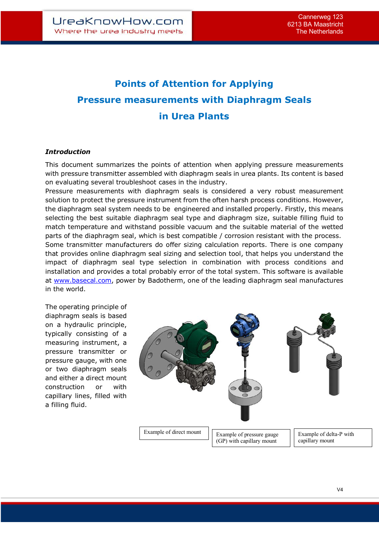# **Points of Attention for Applying Pressure measurements with Diaphragm Seals in Urea Plants**

### *Introduction*

This document summarizes the points of attention when applying pressure measurements with pressure transmitter assembled with diaphragm seals in urea plants. Its content is based on evaluating several troubleshoot cases in the industry.

Pressure measurements with diaphragm seals is considered a very robust measurement solution to protect the pressure instrument from the often harsh process conditions. However, the diaphragm seal system needs to be engineered and installed properly. Firstly, this means selecting the best suitable diaphragm seal type and diaphragm size, suitable filling fluid to match temperature and withstand possible vacuum and the suitable material of the wetted parts of the diaphragm seal, which is best compatible / corrosion resistant with the process.

Some transmitter manufacturers do offer sizing calculation reports. There is one company that provides online diaphragm seal sizing and selection tool, that helps you understand the impact of diaphragm seal type selection in combination with process conditions and installation and provides a total probably error of the total system. This software is available at www.basecal.com, power by Badotherm, one of the leading diaphragm seal manufactures in the world.

The operating principle of diaphragm seals is based on a hydraulic principle, typically consisting of a measuring instrument, a pressure transmitter or pressure gauge, with one or two diaphragm seals and either a direct mount construction or with capillary lines, filled with a filling fluid.

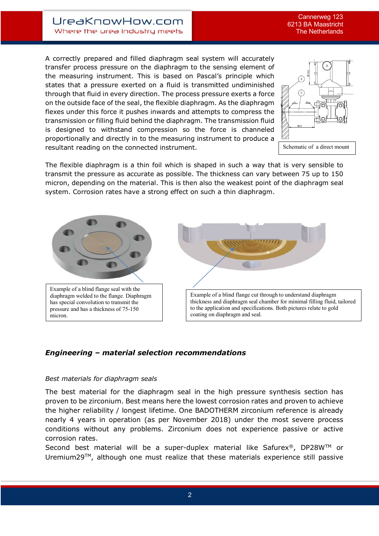A correctly prepared and filled diaphragm seal system will accurately transfer process pressure on the diaphragm to the sensing element of the measuring instrument. This is based on Pascal's principle which states that a pressure exerted on a fluid is transmitted undiminished through that fluid in every direction. The process pressure exerts a force on the outside face of the seal, the flexible diaphragm. As the diaphragm flexes under this force it pushes inwards and attempts to compress the transmission or filling fluid behind the diaphragm. The transmission fluid is designed to withstand compression so the force is channeled proportionally and directly in to the measuring instrument to produce a resultant reading on the connected instrument.



Schematic of a direct mount

The flexible diaphragm is a thin foil which is shaped in such a way that is very sensible to transmit the pressure as accurate as possible. The thickness can vary between 75 up to 150 micron, depending on the material. This is then also the weakest point of the diaphragm seal system. Corrosion rates have a strong effect on such a thin diaphragm.



# *Engineering – material selection recommendations*

#### *Best materials for diaphragm seals*

The best material for the diaphragm seal in the high pressure synthesis section has proven to be zirconium. Best means here the lowest corrosion rates and proven to achieve the higher reliability / longest lifetime. One BADOTHERM zirconium reference is already nearly 4 years in operation (as per November 2018) under the most severe process conditions without any problems. Zirconium does not experience passive or active corrosion rates.

Second best material will be a super-duplex material like Safurex<sup>®</sup>, DP28W<sup>™</sup> or Uremium29™, although one must realize that these materials experience still passive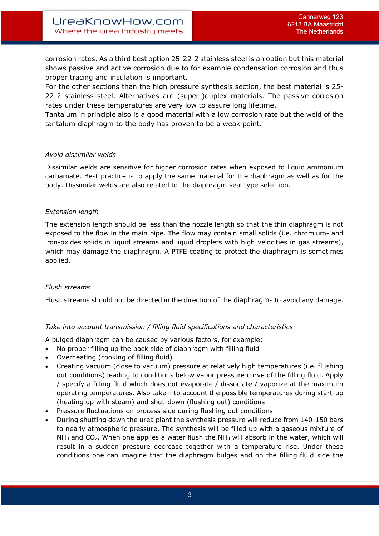corrosion rates. As a third best option 25-22-2 stainless steel is an option but this material shows passive and active corrosion due to for example condensation corrosion and thus proper tracing and insulation is important.

For the other sections than the high pressure synthesis section, the best material is 25- 22-2 stainless steel. Alternatives are (super-)duplex materials. The passive corrosion rates under these temperatures are very low to assure long lifetime.

Tantalum in principle also is a good material with a low corrosion rate but the weld of the tantalum diaphragm to the body has proven to be a weak point.

#### *Avoid dissimilar welds*

Dissimilar welds are sensitive for higher corrosion rates when exposed to liquid ammonium carbamate. Best practice is to apply the same material for the diaphragm as well as for the body. Dissimilar welds are also related to the diaphragm seal type selection.

### *Extension length*

The extension length should be less than the nozzle length so that the thin diaphragm is not exposed to the flow in the main pipe. The flow may contain small solids (i.e. chromium- and iron-oxides solids in liquid streams and liquid droplets with high velocities in gas streams), which may damage the diaphragm. A PTFE coating to protect the diaphragm is sometimes applied.

# *Flush streams*

Flush streams should not be directed in the direction of the diaphragms to avoid any damage.

# *Take into account transmission / filling fluid specifications and characteristics*

A bulged diaphragm can be caused by various factors, for example:

- No proper filling up the back side of diaphragm with filling fluid
- Overheating (cooking of filling fluid)
- Creating vacuum (close to vacuum) pressure at relatively high temperatures (i.e. flushing out conditions) leading to conditions below vapor pressure curve of the filling fluid. Apply / specify a filling fluid which does not evaporate / dissociate / vaporize at the maximum operating temperatures. Also take into account the possible temperatures during start-up (heating up with steam) and shut-down (flushing out) conditions
- Pressure fluctuations on process side during flushing out conditions
- During shutting down the urea plant the synthesis pressure will reduce from 140-150 bars to nearly atmospheric pressure. The synthesis will be filled up with a gaseous mixture of  $NH<sub>3</sub>$  and CO<sub>2</sub>. When one applies a water flush the NH<sub>3</sub> will absorb in the water, which will result in a sudden pressure decrease together with a temperature rise. Under these conditions one can imagine that the diaphragm bulges and on the filling fluid side the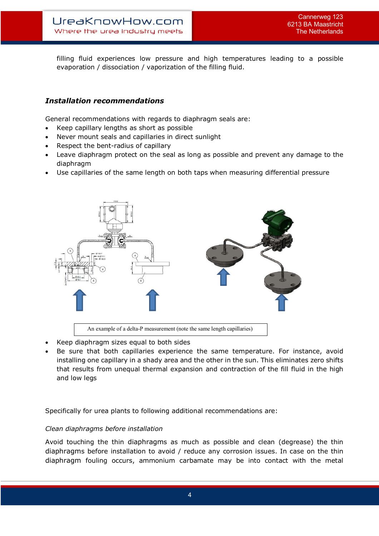filling fluid experiences low pressure and high temperatures leading to a possible evaporation / dissociation / vaporization of the filling fluid.

# *Installation recommendations*

General recommendations with regards to diaphragm seals are:

- Keep capillary lengths as short as possible
- Never mount seals and capillaries in direct sunlight
- Respect the bent-radius of capillary
- Leave diaphragm protect on the seal as long as possible and prevent any damage to the diaphragm
- Use capillaries of the same length on both taps when measuring differential pressure



- Keep diaphragm sizes equal to both sides
- Be sure that both capillaries experience the same temperature. For instance, avoid installing one capillary in a shady area and the other in the sun. This eliminates zero shifts that results from unequal thermal expansion and contraction of the fill fluid in the high and low legs

Specifically for urea plants to following additional recommendations are:

#### *Clean diaphragms before installation*

Avoid touching the thin diaphragms as much as possible and clean (degrease) the thin diaphragms before installation to avoid / reduce any corrosion issues. In case on the thin diaphragm fouling occurs, ammonium carbamate may be into contact with the metal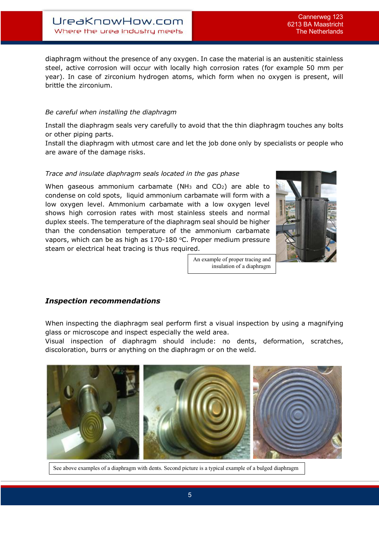diaphragm without the presence of any oxygen. In case the material is an austenitic stainless steel, active corrosion will occur with locally high corrosion rates (for example 50 mm per year). In case of zirconium hydrogen atoms, which form when no oxygen is present, will brittle the zirconium.

## *Be careful when installing the diaphragm*

Install the diaphragm seals very carefully to avoid that the thin diaphragm touches any bolts or other piping parts.

Install the diaphragm with utmost care and let the job done only by specialists or people who are aware of the damage risks.

### *Trace and insulate diaphragm seals located in the gas phase*

When gaseous ammonium carbamate (NH<sub>3</sub> and CO<sub>2</sub>) are able to condense on cold spots, liquid ammonium carbamate will form with a low oxygen level. Ammonium carbamate with a low oxygen level shows high corrosion rates with most stainless steels and normal duplex steels. The temperature of the diaphragm seal should be higher than the condensation temperature of the ammonium carbamate vapors, which can be as high as 170-180 °C. Proper medium pressure steam or electrical heat tracing is thus required.



An example of proper tracing and insulation of a diaphragm

# *Inspection recommendations*

When inspecting the diaphragm seal perform first a visual inspection by using a magnifying glass or microscope and inspect especially the weld area.

Visual inspection of diaphragm should include: no dents, deformation, scratches, discoloration, burrs or anything on the diaphragm or on the weld.



See above examples of a diaphragm with dents. Second picture is a typical example of a bulged diaphragm